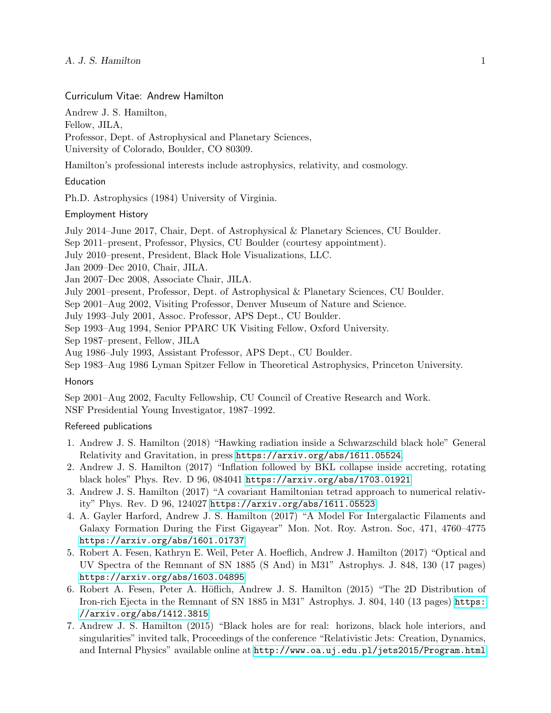# Curriculum Vitae: Andrew Hamilton

Andrew J. S. Hamilton,

Fellow, JILA,

Professor, Dept. of Astrophysical and Planetary Sciences, University of Colorado, Boulder, CO 80309.

Hamilton's professional interests include astrophysics, relativity, and cosmology.

#### Education

Ph.D. Astrophysics (1984) University of Virginia.

### Employment History

July 2014–June 2017, Chair, Dept. of Astrophysical & Planetary Sciences, CU Boulder.

Sep 2011–present, Professor, Physics, CU Boulder (courtesy appointment).

July 2010–present, President, Black Hole Visualizations, LLC.

Jan 2009–Dec 2010, Chair, JILA.

Jan 2007–Dec 2008, Associate Chair, JILA.

July 2001–present, Professor, Dept. of Astrophysical & Planetary Sciences, CU Boulder.

Sep 2001–Aug 2002, Visiting Professor, Denver Museum of Nature and Science.

July 1993–July 2001, Assoc. Professor, APS Dept., CU Boulder.

Sep 1993–Aug 1994, Senior PPARC UK Visiting Fellow, Oxford University.

Sep 1987–present, Fellow, JILA

Aug 1986–July 1993, Assistant Professor, APS Dept., CU Boulder.

Sep 1983–Aug 1986 Lyman Spitzer Fellow in Theoretical Astrophysics, Princeton University.

#### Honors

Sep 2001–Aug 2002, Faculty Fellowship, CU Council of Creative Research and Work. NSF Presidential Young Investigator, 1987–1992.

## Refereed publications

- 1. Andrew J. S. Hamilton (2018) "Hawking radiation inside a Schwarzschild black hole" General Relativity and Gravitation, in press <https://arxiv.org/abs/1611.05524>.
- 2. Andrew J. S. Hamilton (2017) "Inflation followed by BKL collapse inside accreting, rotating black holes" Phys. Rev. D 96, 084041 <https://arxiv.org/abs/1703.01921>
- 3. Andrew J. S. Hamilton (2017) "A covariant Hamiltonian tetrad approach to numerical relativity" Phys. Rev. D 96, 124027 <https://arxiv.org/abs/1611.05523>
- 4. A. Gayler Harford, Andrew J. S. Hamilton (2017) "A Model For Intergalactic Filaments and Galaxy Formation During the First Gigayear" Mon. Not. Roy. Astron. Soc, 471, 4760–4775 <https://arxiv.org/abs/1601.01737>
- 5. Robert A. Fesen, Kathryn E. Weil, Peter A. Hoeflich, Andrew J. Hamilton (2017) "Optical and UV Spectra of the Remnant of SN 1885 (S And) in M31" Astrophys. J. 848, 130 (17 pages) <https://arxiv.org/abs/1603.04895>
- 6. Robert A. Fesen, Peter A. Höflich, Andrew J. S. Hamilton (2015) "The 2D Distribution of Iron-rich Ejecta in the Remnant of SN 1885 in M31" Astrophys. J. 804, 140 (13 pages) [https:](https://arxiv.org/abs/1412.3815) [//arxiv.org/abs/1412.3815](https://arxiv.org/abs/1412.3815)
- 7. Andrew J. S. Hamilton (2015) "Black holes are for real: horizons, black hole interiors, and singularities" invited talk, Proceedings of the conference "Relativistic Jets: Creation, Dynamics, and Internal Physics" available online at <http://www.oa.uj.edu.pl/jets2015/Program.html>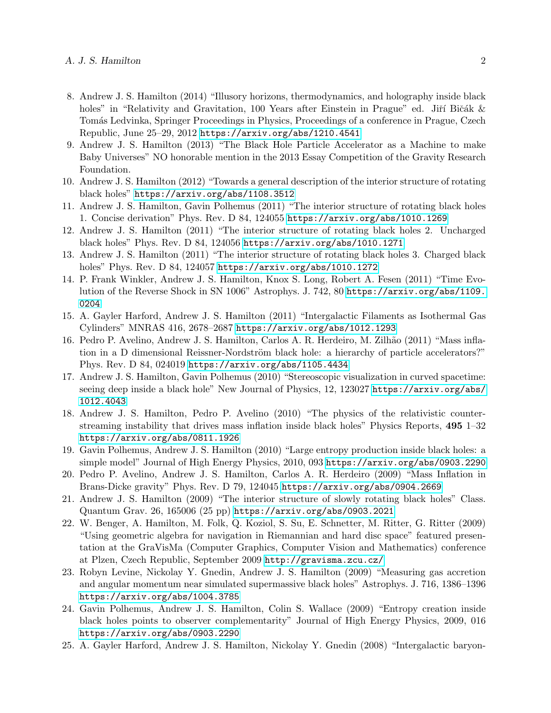- 8. Andrew J. S. Hamilton (2014) "Illusory horizons, thermodynamics, and holography inside black holes" in "Relativity and Gravitation, 100 Years after Einstein in Prague" ed. Jiří Bičák & Tom´as Ledvinka, Springer Proceedings in Physics, Proceedings of a conference in Prague, Czech Republic, June 25–29, 2012 <https://arxiv.org/abs/1210.4541>
- 9. Andrew J. S. Hamilton (2013) "The Black Hole Particle Accelerator as a Machine to make Baby Universes" NO honorable mention in the 2013 Essay Competition of the Gravity Research Foundation.
- 10. Andrew J. S. Hamilton (2012) "Towards a general description of the interior structure of rotating black holes" <https://arxiv.org/abs/1108.3512>
- 11. Andrew J. S. Hamilton, Gavin Polhemus (2011) "The interior structure of rotating black holes 1. Concise derivation" Phys. Rev. D 84, 124055 <https://arxiv.org/abs/1010.1269>
- 12. Andrew J. S. Hamilton (2011) "The interior structure of rotating black holes 2. Uncharged black holes" Phys. Rev. D 84, 124056 <https://arxiv.org/abs/1010.1271>
- 13. Andrew J. S. Hamilton (2011) "The interior structure of rotating black holes 3. Charged black holes" Phys. Rev. D 84, 124057 <https://arxiv.org/abs/1010.1272>
- 14. P. Frank Winkler, Andrew J. S. Hamilton, Knox S. Long, Robert A. Fesen (2011) "Time Evolution of the Reverse Shock in SN 1006" Astrophys. J. 742, 80 [https://arxiv.org/abs/1109.](https://arxiv.org/abs/1109.0204) [0204](https://arxiv.org/abs/1109.0204)
- 15. A. Gayler Harford, Andrew J. S. Hamilton (2011) "Intergalactic Filaments as Isothermal Gas Cylinders" MNRAS 416, 2678–2687 <https://arxiv.org/abs/1012.1293>
- 16. Pedro P. Avelino, Andrew J. S. Hamilton, Carlos A. R. Herdeiro, M. Zilhão (2011) "Mass inflation in a D dimensional Reissner-Nordström black hole: a hierarchy of particle accelerators?" Phys. Rev. D 84, 024019 <https://arxiv.org/abs/1105.4434>
- 17. Andrew J. S. Hamilton, Gavin Polhemus (2010) "Stereoscopic visualization in curved spacetime: seeing deep inside a black hole" New Journal of Physics, 12, 123027 [https://arxiv.org/abs/](https://arxiv.org/abs/1012.4043) [1012.4043](https://arxiv.org/abs/1012.4043)
- 18. Andrew J. S. Hamilton, Pedro P. Avelino (2010) "The physics of the relativistic counterstreaming instability that drives mass inflation inside black holes" Physics Reports, 495 1–32 <https://arxiv.org/abs/0811.1926>
- 19. Gavin Polhemus, Andrew J. S. Hamilton (2010) "Large entropy production inside black holes: a simple model" Journal of High Energy Physics, 2010, 093 <https://arxiv.org/abs/0903.2290>
- 20. Pedro P. Avelino, Andrew J. S. Hamilton, Carlos A. R. Herdeiro (2009) "Mass Inflation in Brans-Dicke gravity" Phys. Rev. D 79, 124045 <https://arxiv.org/abs/0904.2669>
- 21. Andrew J. S. Hamilton (2009) "The interior structure of slowly rotating black holes" Class. Quantum Grav. 26, 165006 (25 pp) <https://arxiv.org/abs/0903.2021>
- 22. W. Benger, A. Hamilton, M. Folk, Q. Koziol, S. Su, E. Schnetter, M. Ritter, G. Ritter (2009) "Using geometric algebra for navigation in Riemannian and hard disc space" featured presentation at the GraVisMa (Computer Graphics, Computer Vision and Mathematics) conference at Plzen, Czech Republic, September 2009 <http://gravisma.zcu.cz/>
- 23. Robyn Levine, Nickolay Y. Gnedin, Andrew J. S. Hamilton (2009) "Measuring gas accretion and angular momentum near simulated supermassive black holes" Astrophys. J. 716, 1386–1396 <https://arxiv.org/abs/1004.3785>
- 24. Gavin Polhemus, Andrew J. S. Hamilton, Colin S. Wallace (2009) "Entropy creation inside black holes points to observer complementarity" Journal of High Energy Physics, 2009, 016 <https://arxiv.org/abs/0903.2290>
- 25. A. Gayler Harford, Andrew J. S. Hamilton, Nickolay Y. Gnedin (2008) "Intergalactic baryon-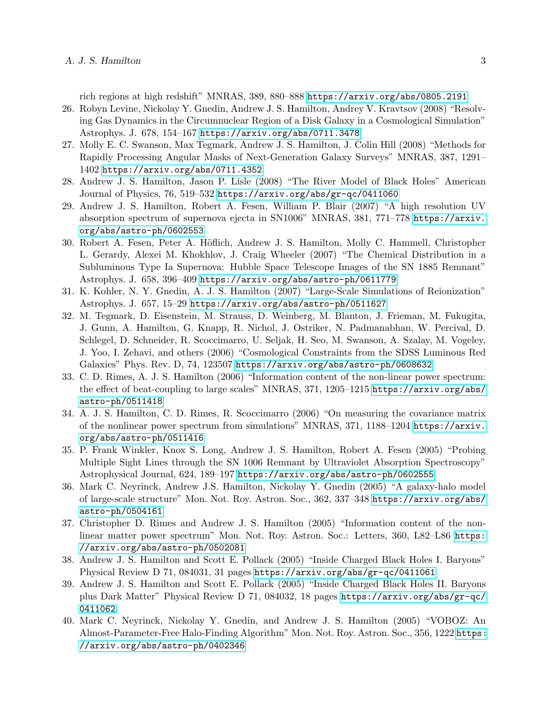rich regions at high redshift" MNRAS, 389, 880–888 <https://arxiv.org/abs/0805.2191>

- 26. Robyn Levine, Nickolay Y. Gnedin, Andrew J. S. Hamilton, Andrey V. Kravtsov (2008) "Resolving Gas Dynamics in the Circumnuclear Region of a Disk Galaxy in a Cosmological Simulation" Astrophys. J. 678, 154–167 <https://arxiv.org/abs/0711.3478>
- 27. Molly E. C. Swanson, Max Tegmark, Andrew J. S. Hamilton, J. Colin Hill (2008) "Methods for Rapidly Processing Angular Masks of Next-Generation Galaxy Surveys" MNRAS, 387, 1291– 1402 <https://arxiv.org/abs/0711.4352>
- 28. Andrew J. S. Hamilton, Jason P. Lisle (2008) "The River Model of Black Holes" American Journal of Physics, 76, 519–532 <https://arxiv.org/abs/gr-qc/0411060>
- 29. Andrew J. S. Hamilton, Robert A. Fesen, William P. Blair (2007) "A high resolution UV absorption spectrum of supernova ejecta in SN1006" MNRAS, 381, 771–778 [https://arxiv.](https://arxiv.org/abs/astro-ph/0602553) [org/abs/astro-ph/0602553](https://arxiv.org/abs/astro-ph/0602553)
- 30. Robert A. Fesen, Peter A. Höflich, Andrew J. S. Hamilton, Molly C. Hammell, Christopher L. Gerardy, Alexei M. Khokhlov, J. Craig Wheeler (2007) "The Chemical Distribution in a Subluminous Type Ia Supernova: Hubble Space Telescope Images of the SN 1885 Remnant" Astrophys. J. 658, 396–409 <https://arxiv.org/abs/astro-ph/0611779>
- 31. K. Kohler, N. Y. Gnedin, A. J. S. Hamilton (2007) "Large-Scale Simulations of Reionization" Astrophys. J. 657, 15–29 <https://arxiv.org/abs/astro-ph/0511627>
- 32. M. Tegmark, D. Eisenstein, M. Strauss, D. Weinberg, M. Blanton, J. Frieman, M. Fukugita, J. Gunn, A. Hamilton, G. Knapp, R. Nichol, J. Ostriker, N. Padmanabhan, W. Percival, D. Schlegel, D. Schneider, R. Scoccimarro, U. Seljak, H. Seo, M. Swanson, A. Szalay, M. Vogeley, J. Yoo, I. Zehavi, and others (2006) "Cosmological Constraints from the SDSS Luminous Red Galaxies" Phys. Rev. D, 74, 123507 <https://arxiv.org/abs/astro-ph/0608632>
- 33. C. D. Rimes, A. J. S. Hamilton (2006) "Information content of the non-linear power spectrum: the effect of beat-coupling to large scales" MNRAS, 371, 1205–1215 [https://arxiv.org/abs/](https://arxiv.org/abs/astro-ph/0511418) [astro-ph/0511418](https://arxiv.org/abs/astro-ph/0511418)
- 34. A. J. S. Hamilton, C. D. Rimes, R. Scoccimarro (2006) "On measuring the covariance matrix of the nonlinear power spectrum from simulations" MNRAS, 371, 1188–1204 [https://arxiv.](https://arxiv.org/abs/astro-ph/0511416) [org/abs/astro-ph/0511416](https://arxiv.org/abs/astro-ph/0511416)
- 35. P. Frank Winkler, Knox S. Long, Andrew J. S. Hamilton, Robert A. Fesen (2005) "Probing Multiple Sight Lines through the SN 1006 Remnant by Ultraviolet Absorption Spectroscopy" Astrophysical Journal, 624, 189–197 <https://arxiv.org/abs/astro-ph/0602555>
- 36. Mark C. Neyrinck, Andrew J.S. Hamilton, Nickolay Y. Gnedin (2005) "A galaxy-halo model of large-scale structure" Mon. Not. Roy. Astron. Soc., 362, 337–348 [https://arxiv.org/abs/](https://arxiv.org/abs/astro-ph/0504161) [astro-ph/0504161](https://arxiv.org/abs/astro-ph/0504161)
- 37. Christopher D. Rimes and Andrew J. S. Hamilton (2005) "Information content of the nonlinear matter power spectrum" Mon. Not. Roy. Astron. Soc.: Letters, 360, L82–L86 [https:](https://arxiv.org/abs/astro-ph/0502081) [//arxiv.org/abs/astro-ph/0502081](https://arxiv.org/abs/astro-ph/0502081)
- 38. Andrew J. S. Hamilton and Scott E. Pollack (2005) "Inside Charged Black Holes I. Baryons" Physical Review D 71, 084031, 31 pages <https://arxiv.org/abs/gr-qc/0411061>
- 39. Andrew J. S. Hamilton and Scott E. Pollack (2005) "Inside Charged Black Holes II. Baryons plus Dark Matter" Physical Review D 71, 084032, 18 pages [https://arxiv.org/abs/gr-qc/](https://arxiv.org/abs/gr-qc/0411062) [0411062](https://arxiv.org/abs/gr-qc/0411062)
- 40. Mark C. Neyrinck, Nickolay Y. Gnedin, and Andrew J. S. Hamilton (2005) "VOBOZ: An Almost-Parameter-Free Halo-Finding Algorithm" Mon. Not. Roy. Astron. Soc., 356, 1222 [https:](https://arxiv.org/abs/astro-ph/0402346) [//arxiv.org/abs/astro-ph/0402346](https://arxiv.org/abs/astro-ph/0402346)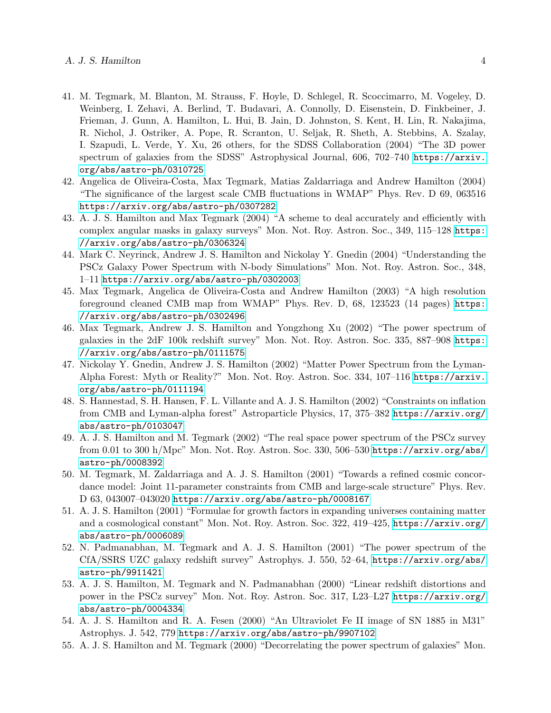- 41. M. Tegmark, M. Blanton, M. Strauss, F. Hoyle, D. Schlegel, R. Scoccimarro, M. Vogeley, D. Weinberg, I. Zehavi, A. Berlind, T. Budavari, A. Connolly, D. Eisenstein, D. Finkbeiner, J. Frieman, J. Gunn, A. Hamilton, L. Hui, B. Jain, D. Johnston, S. Kent, H. Lin, R. Nakajima, R. Nichol, J. Ostriker, A. Pope, R. Scranton, U. Seljak, R. Sheth, A. Stebbins, A. Szalay, I. Szapudi, L. Verde, Y. Xu, 26 others, for the SDSS Collaboration (2004) "The 3D power spectrum of galaxies from the SDSS" Astrophysical Journal, 606, 702–740 [https://arxiv.](https://arxiv.org/abs/astro-ph/0310725) [org/abs/astro-ph/0310725](https://arxiv.org/abs/astro-ph/0310725)
- 42. Angelica de Oliveira-Costa, Max Tegmark, Matias Zaldarriaga and Andrew Hamilton (2004) "The significance of the largest scale CMB fluctuations in WMAP" Phys. Rev. D 69, 063516 <https://arxiv.org/abs/astro-ph/0307282>
- 43. A. J. S. Hamilton and Max Tegmark (2004) "A scheme to deal accurately and efficiently with complex angular masks in galaxy surveys" Mon. Not. Roy. Astron. Soc., 349, 115–128 [https:](https://arxiv.org/abs/astro-ph/0306324) [//arxiv.org/abs/astro-ph/0306324](https://arxiv.org/abs/astro-ph/0306324)
- 44. Mark C. Neyrinck, Andrew J. S. Hamilton and Nickolay Y. Gnedin (2004) "Understanding the PSCz Galaxy Power Spectrum with N-body Simulations" Mon. Not. Roy. Astron. Soc., 348, 1–11 <https://arxiv.org/abs/astro-ph/0302003>
- 45. Max Tegmark, Angelica de Oliveira-Costa and Andrew Hamilton (2003) "A high resolution foreground cleaned CMB map from WMAP" Phys. Rev. D, 68, 123523 (14 pages) [https:](https://arxiv.org/abs/astro-ph/0302496) [//arxiv.org/abs/astro-ph/0302496](https://arxiv.org/abs/astro-ph/0302496)
- 46. Max Tegmark, Andrew J. S. Hamilton and Yongzhong Xu (2002) "The power spectrum of galaxies in the 2dF 100k redshift survey" Mon. Not. Roy. Astron. Soc. 335, 887–908 [https:](https://arxiv.org/abs/astro-ph/0111575) [//arxiv.org/abs/astro-ph/0111575](https://arxiv.org/abs/astro-ph/0111575)
- 47. Nickolay Y. Gnedin, Andrew J. S. Hamilton (2002) "Matter Power Spectrum from the Lyman-Alpha Forest: Myth or Reality?" Mon. Not. Roy. Astron. Soc. 334, 107–116 [https://arxiv.](https://arxiv.org/abs/astro-ph/0111194) [org/abs/astro-ph/0111194](https://arxiv.org/abs/astro-ph/0111194)
- 48. S. Hannestad, S. H. Hansen, F. L. Villante and A. J. S. Hamilton (2002) "Constraints on inflation from CMB and Lyman-alpha forest" Astroparticle Physics, 17, 375–382 [https://arxiv.org/](https://arxiv.org/abs/astro-ph/0103047) [abs/astro-ph/0103047](https://arxiv.org/abs/astro-ph/0103047)
- 49. A. J. S. Hamilton and M. Tegmark (2002) "The real space power spectrum of the PSCz survey from 0.01 to 300 h/Mpc" Mon. Not. Roy. Astron. Soc. 330, 506–530 [https://arxiv.org/abs/](https://arxiv.org/abs/astro-ph/0008392) [astro-ph/0008392](https://arxiv.org/abs/astro-ph/0008392)
- 50. M. Tegmark, M. Zaldarriaga and A. J. S. Hamilton (2001) "Towards a refined cosmic concordance model: Joint 11-parameter constraints from CMB and large-scale structure" Phys. Rev. D 63, 043007–043020 <https://arxiv.org/abs/astro-ph/0008167>
- 51. A. J. S. Hamilton (2001) "Formulae for growth factors in expanding universes containing matter and a cosmological constant" Mon. Not. Roy. Astron. Soc. 322, 419–425, [https://arxiv.org/](https://arxiv.org/abs/astro-ph/0006089) [abs/astro-ph/0006089](https://arxiv.org/abs/astro-ph/0006089)
- 52. N. Padmanabhan, M. Tegmark and A. J. S. Hamilton (2001) "The power spectrum of the CfA/SSRS UZC galaxy redshift survey" Astrophys. J. 550, 52–64, [https://arxiv.org/abs/](https://arxiv.org/abs/astro-ph/9911421) [astro-ph/9911421](https://arxiv.org/abs/astro-ph/9911421)
- 53. A. J. S. Hamilton, M. Tegmark and N. Padmanabhan (2000) "Linear redshift distortions and power in the PSCz survey" Mon. Not. Roy. Astron. Soc. 317, L23–L27 [https://arxiv.org/](https://arxiv.org/abs/astro-ph/0004334) [abs/astro-ph/0004334](https://arxiv.org/abs/astro-ph/0004334)
- 54. A. J. S. Hamilton and R. A. Fesen (2000) "An Ultraviolet Fe II image of SN 1885 in M31" Astrophys. J. 542, 779 <https://arxiv.org/abs/astro-ph/9907102>
- 55. A. J. S. Hamilton and M. Tegmark (2000) "Decorrelating the power spectrum of galaxies" Mon.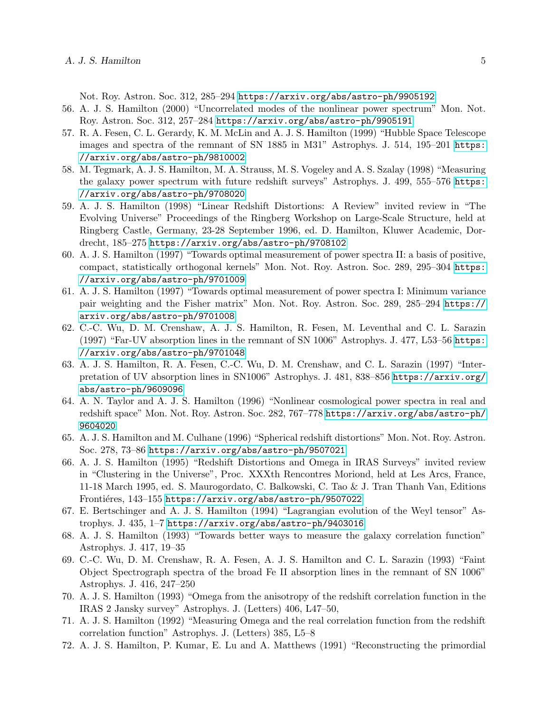Not. Roy. Astron. Soc. 312, 285–294 <https://arxiv.org/abs/astro-ph/9905192>

- 56. A. J. S. Hamilton (2000) "Uncorrelated modes of the nonlinear power spectrum" Mon. Not. Roy. Astron. Soc. 312, 257–284 <https://arxiv.org/abs/astro-ph/9905191>
- 57. R. A. Fesen, C. L. Gerardy, K. M. McLin and A. J. S. Hamilton (1999) "Hubble Space Telescope images and spectra of the remnant of SN 1885 in M31" Astrophys. J. 514, 195–201 [https:](https://arxiv.org/abs/astro-ph/9810002) [//arxiv.org/abs/astro-ph/9810002](https://arxiv.org/abs/astro-ph/9810002)
- 58. M. Tegmark, A. J. S. Hamilton, M. A. Strauss, M. S. Vogeley and A. S. Szalay (1998) "Measuring the galaxy power spectrum with future redshift surveys" Astrophys. J. 499, 555–576 [https:](https://arxiv.org/abs/astro-ph/9708020) [//arxiv.org/abs/astro-ph/9708020](https://arxiv.org/abs/astro-ph/9708020)
- 59. A. J. S. Hamilton (1998) "Linear Redshift Distortions: A Review" invited review in "The Evolving Universe" Proceedings of the Ringberg Workshop on Large-Scale Structure, held at Ringberg Castle, Germany, 23-28 September 1996, ed. D. Hamilton, Kluwer Academic, Dordrecht, 185–275 <https://arxiv.org/abs/astro-ph/9708102>
- 60. A. J. S. Hamilton (1997) "Towards optimal measurement of power spectra II: a basis of positive, compact, statistically orthogonal kernels" Mon. Not. Roy. Astron. Soc. 289, 295–304 [https:](https://arxiv.org/abs/astro-ph/9701009) [//arxiv.org/abs/astro-ph/9701009](https://arxiv.org/abs/astro-ph/9701009)
- 61. A. J. S. Hamilton (1997) "Towards optimal measurement of power spectra I: Minimum variance pair weighting and the Fisher matrix" Mon. Not. Roy. Astron. Soc. 289, 285–294 [https://](https://arxiv.org/abs/astro-ph/9701008) [arxiv.org/abs/astro-ph/9701008](https://arxiv.org/abs/astro-ph/9701008)
- 62. C.-C. Wu, D. M. Crenshaw, A. J. S. Hamilton, R. Fesen, M. Leventhal and C. L. Sarazin (1997) "Far-UV absorption lines in the remnant of SN 1006" Astrophys. J. 477, L53–56 [https:](https://arxiv.org/abs/astro-ph/9701048) [//arxiv.org/abs/astro-ph/9701048](https://arxiv.org/abs/astro-ph/9701048)
- 63. A. J. S. Hamilton, R. A. Fesen, C.-C. Wu, D. M. Crenshaw, and C. L. Sarazin (1997) "Interpretation of UV absorption lines in SN1006" Astrophys. J. 481, 838–856 [https://arxiv.org/](https://arxiv.org/abs/astro-ph/9609096) [abs/astro-ph/9609096](https://arxiv.org/abs/astro-ph/9609096)
- 64. A. N. Taylor and A. J. S. Hamilton (1996) "Nonlinear cosmological power spectra in real and redshift space" Mon. Not. Roy. Astron. Soc. 282, 767–778 [https://arxiv.org/abs/astro-ph/](https://arxiv.org/abs/astro-ph/9604020) [9604020](https://arxiv.org/abs/astro-ph/9604020)
- 65. A. J. S. Hamilton and M. Culhane (1996) "Spherical redshift distortions" Mon. Not. Roy. Astron. Soc. 278, 73–86 <https://arxiv.org/abs/astro-ph/9507021>
- 66. A. J. S. Hamilton (1995) "Redshift Distortions and Omega in IRAS Surveys" invited review in "Clustering in the Universe", Proc. XXXth Rencontres Moriond, held at Les Arcs, France, 11-18 March 1995, ed. S. Maurogordato, C. Balkowski, C. Tao & J. Tran Thanh Van, Editions Frontiéres, 143–155 <https://arxiv.org/abs/astro-ph/9507022>
- 67. E. Bertschinger and A. J. S. Hamilton (1994) "Lagrangian evolution of the Weyl tensor" Astrophys. J. 435, 1–7 <https://arxiv.org/abs/astro-ph/9403016>
- 68. A. J. S. Hamilton (1993) "Towards better ways to measure the galaxy correlation function" Astrophys. J. 417, 19–35
- 69. C.-C. Wu, D. M. Crenshaw, R. A. Fesen, A. J. S. Hamilton and C. L. Sarazin (1993) "Faint Object Spectrograph spectra of the broad Fe II absorption lines in the remnant of SN 1006" Astrophys. J. 416, 247–250
- 70. A. J. S. Hamilton (1993) "Omega from the anisotropy of the redshift correlation function in the IRAS 2 Jansky survey" Astrophys. J. (Letters) 406, L47–50,
- 71. A. J. S. Hamilton (1992) "Measuring Omega and the real correlation function from the redshift correlation function" Astrophys. J. (Letters) 385, L5–8
- 72. A. J. S. Hamilton, P. Kumar, E. Lu and A. Matthews (1991) "Reconstructing the primordial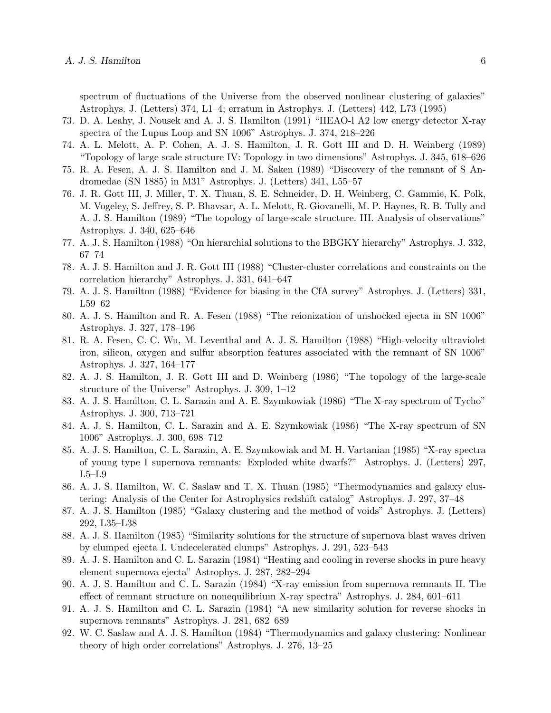spectrum of fluctuations of the Universe from the observed nonlinear clustering of galaxies" Astrophys. J. (Letters) 374, L1–4; erratum in Astrophys. J. (Letters) 442, L73 (1995)

- 73. D. A. Leahy, J. Nousek and A. J. S. Hamilton (1991) "HEAO-l A2 low energy detector X-ray spectra of the Lupus Loop and SN 1006" Astrophys. J. 374, 218–226
- 74. A. L. Melott, A. P. Cohen, A. J. S. Hamilton, J. R. Gott III and D. H. Weinberg (1989) "Topology of large scale structure IV: Topology in two dimensions" Astrophys. J. 345, 618–626
- 75. R. A. Fesen, A. J. S. Hamilton and J. M. Saken (1989) "Discovery of the remnant of S Andromedae (SN 1885) in M31" Astrophys. J. (Letters) 341, L55–57
- 76. J. R. Gott III, J. Miller, T. X. Thuan, S. E. Schneider, D. H. Weinberg, C. Gammie, K. Polk, M. Vogeley, S. Jeffrey, S. P. Bhavsar, A. L. Melott, R. Giovanelli, M. P. Haynes, R. B. Tully and A. J. S. Hamilton (1989) "The topology of large-scale structure. III. Analysis of observations" Astrophys. J. 340, 625–646
- 77. A. J. S. Hamilton (1988) "On hierarchial solutions to the BBGKY hierarchy" Astrophys. J. 332, 67–74
- 78. A. J. S. Hamilton and J. R. Gott III (1988) "Cluster-cluster correlations and constraints on the correlation hierarchy" Astrophys. J. 331, 641–647
- 79. A. J. S. Hamilton (1988) "Evidence for biasing in the CfA survey" Astrophys. J. (Letters) 331, L59–62
- 80. A. J. S. Hamilton and R. A. Fesen (1988) "The reionization of unshocked ejecta in SN 1006" Astrophys. J. 327, 178–196
- 81. R. A. Fesen, C.-C. Wu, M. Leventhal and A. J. S. Hamilton (1988) "High-velocity ultraviolet iron, silicon, oxygen and sulfur absorption features associated with the remnant of SN 1006" Astrophys. J. 327, 164–177
- 82. A. J. S. Hamilton, J. R. Gott III and D. Weinberg (1986) "The topology of the large-scale structure of the Universe" Astrophys. J. 309, 1–12
- 83. A. J. S. Hamilton, C. L. Sarazin and A. E. Szymkowiak (1986) "The X-ray spectrum of Tycho" Astrophys. J. 300, 713–721
- 84. A. J. S. Hamilton, C. L. Sarazin and A. E. Szymkowiak (1986) "The X-ray spectrum of SN 1006" Astrophys. J. 300, 698–712
- 85. A. J. S. Hamilton, C. L. Sarazin, A. E. Szymkowiak and M. H. Vartanian (1985) "X-ray spectra of young type I supernova remnants: Exploded white dwarfs?" Astrophys. J. (Letters) 297, L5–L9
- 86. A. J. S. Hamilton, W. C. Saslaw and T. X. Thuan (1985) "Thermodynamics and galaxy clustering: Analysis of the Center for Astrophysics redshift catalog" Astrophys. J. 297, 37–48
- 87. A. J. S. Hamilton (1985) "Galaxy clustering and the method of voids" Astrophys. J. (Letters) 292, L35–L38
- 88. A. J. S. Hamilton (1985) "Similarity solutions for the structure of supernova blast waves driven by clumped ejecta I. Undecelerated clumps" Astrophys. J. 291, 523–543
- 89. A. J. S. Hamilton and C. L. Sarazin (1984) "Heating and cooling in reverse shocks in pure heavy element supernova ejecta" Astrophys. J. 287, 282–294
- 90. A. J. S. Hamilton and C. L. Sarazin (1984) "X-ray emission from supernova remnants II. The effect of remnant structure on nonequilibrium X-ray spectra" Astrophys. J. 284, 601–611
- 91. A. J. S. Hamilton and C. L. Sarazin (1984) "A new similarity solution for reverse shocks in supernova remnants" Astrophys. J. 281, 682–689
- 92. W. C. Saslaw and A. J. S. Hamilton (1984) "Thermodynamics and galaxy clustering: Nonlinear theory of high order correlations" Astrophys. J. 276, 13–25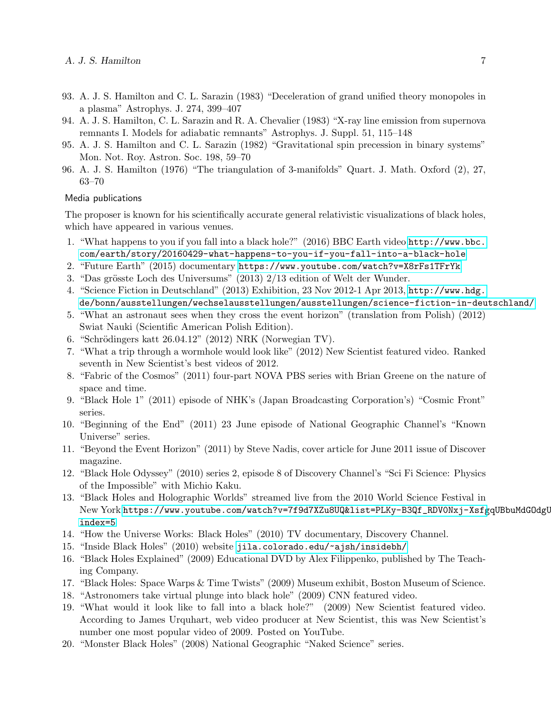- 93. A. J. S. Hamilton and C. L. Sarazin (1983) "Deceleration of grand unified theory monopoles in a plasma" Astrophys. J. 274, 399–407
- 94. A. J. S. Hamilton, C. L. Sarazin and R. A. Chevalier (1983) "X-ray line emission from supernova remnants I. Models for adiabatic remnants" Astrophys. J. Suppl. 51, 115–148
- 95. A. J. S. Hamilton and C. L. Sarazin (1982) "Gravitational spin precession in binary systems" Mon. Not. Roy. Astron. Soc. 198, 59–70
- 96. A. J. S. Hamilton (1976) "The triangulation of 3-manifolds" Quart. J. Math. Oxford (2), 27, 63–70

### Media publications

The proposer is known for his scientifically accurate general relativistic visualizations of black holes, which have appeared in various venues.

- 1. "What happens to you if you fall into a black hole?" (2016) BBC Earth video [http://www.bbc.](http://www.bbc.com/earth/story/20160429-what-happens-to-you-if-you-fall-into-a-black-hole) [com/earth/story/20160429-what-happens-to-you-if-you-fall-into-a-black-hole](http://www.bbc.com/earth/story/20160429-what-happens-to-you-if-you-fall-into-a-black-hole)
- 2. "Future Earth" (2015) documentary <https://www.youtube.com/watch?v=X8rFs1TFrYk>
- 3. "Das grösste Loch des Universums"  $(2013)$   $2/13$  edition of Welt der Wunder.
- 4. "Science Fiction in Deutschland" (2013) Exhibition, 23 Nov 2012-1 Apr 2013, [http://www.hdg.](http://www.hdg.de/bonn/ausstellungen/wechselausstellungen/ausstellungen/science-fiction-in-deutschland/) [de/bonn/ausstellungen/wechselausstellungen/ausstellungen/science-fiction-in-deutschland/](http://www.hdg.de/bonn/ausstellungen/wechselausstellungen/ausstellungen/science-fiction-in-deutschland/)
- 5. "What an astronaut sees when they cross the event horizon" (translation from Polish) (2012) Swiat Nauki (Scientific American Polish Edition).
- 6. "Schrödingers katt  $26.04.12$ " (2012) NRK (Norwegian TV).
- 7. "What a trip through a wormhole would look like" (2012) New Scientist featured video. Ranked seventh in New Scientist's best videos of 2012.
- 8. "Fabric of the Cosmos" (2011) four-part NOVA PBS series with Brian Greene on the nature of space and time.
- 9. "Black Hole 1" (2011) episode of NHK's (Japan Broadcasting Corporation's) "Cosmic Front" series.
- 10. "Beginning of the End" (2011) 23 June episode of National Geographic Channel's "Known Universe" series.
- 11. "Beyond the Event Horizon" (2011) by Steve Nadis, cover article for June 2011 issue of Discover magazine.
- 12. "Black Hole Odyssey" (2010) series 2, episode 8 of Discovery Channel's "Sci Fi Science: Physics of the Impossible" with Michio Kaku.
- 13. "Black Holes and Holographic Worlds" streamed live from the 2010 World Science Festival in New York [https://www.youtube.com/watch?v=7f9d7XZu8UQ&list=PLKy-B3Qf\\_RDV0Nxj-Xsfg](https://www.youtube.com/watch?v=7f9d7XZu8UQ&list=PLKy-B3Qf_RDV0Nxj-XsfgqUBbuMdGOdgU&index=5)qUBbuMdGOdgU& [index=5](https://www.youtube.com/watch?v=7f9d7XZu8UQ&list=PLKy-B3Qf_RDV0Nxj-XsfgqUBbuMdGOdgU&index=5)
- 14. "How the Universe Works: Black Holes" (2010) TV documentary, Discovery Channel.
- 15. "Inside Black Holes" (2010) website <jila.colorado.edu/~ajsh/insidebh/>
- 16. "Black Holes Explained" (2009) Educational DVD by Alex Filippenko, published by The Teaching Company.
- 17. "Black Holes: Space Warps & Time Twists" (2009) Museum exhibit, Boston Museum of Science.
- 18. "Astronomers take virtual plunge into black hole" (2009) CNN featured video.
- 19. "What would it look like to fall into a black hole?" (2009) New Scientist featured video. According to James Urquhart, web video producer at New Scientist, this was New Scientist's number one most popular video of 2009. Posted on YouTube.
- 20. "Monster Black Holes" (2008) National Geographic "Naked Science" series.